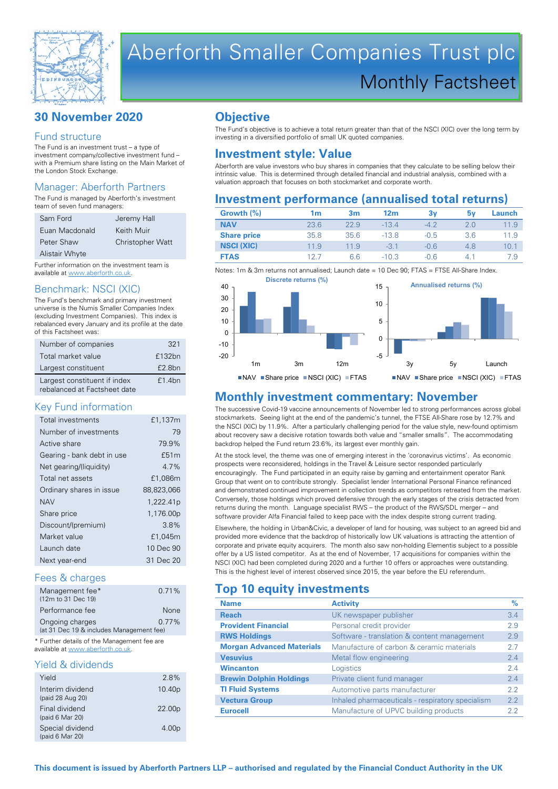

# Aberforth Smaller Companies Trust plc Monthly Factsheet

# **30 November 2020**

#### Fund structure

The Fund is an investment trust – a type of investment company/collective investment fund – with a Premium share listing on the Main Market of the London Stock Exchange.

#### Manager: Aberforth Partners

The Fund is managed by Aberforth's investment team of seven fund managers:

| Sam Ford       | Jeremy Hall             |
|----------------|-------------------------|
| Euan Macdonald | Keith Muir              |
| Peter Shaw     | <b>Christopher Watt</b> |
| Alistair Whyte |                         |

Further information on the investment team is available at www.aberforth.co.uk.

#### Benchmark: NSCI (XIC)

The Fund's benchmark and primary investment universe is the Numis Smaller Companies Index (excluding Investment Companies). This index is rebalanced every January and its profile at the date of this Factsheet was:

| Number of companies                                          | 321    |
|--------------------------------------------------------------|--------|
| Total market value                                           | £132bn |
| Largest constituent                                          | £2.8bn |
| Largest constituent if index<br>rebalanced at Factsheet date | £1.4bn |

#### Key Fund information

| Total investments          | £1,137m               |
|----------------------------|-----------------------|
| Number of investments      | 79                    |
| Active share               | 79.9%                 |
| Gearing - bank debt in use | £51m                  |
| Net gearing/(liquidity)    | 47%                   |
| Total net assets           | £1,086m               |
| Ordinary shares in issue   | 88,823,066            |
| <b>NAV</b>                 | 1,222.41 <sub>p</sub> |
| Share price                | 1,176.00p             |
| Discount/(premium)         | 38%                   |
| Market value               | £1,045m               |
| Launch date                | 10 Dec 90             |
| Next year-end              | 31 Dec 20             |

#### Fees & charges

| Management fee*                          | 0.71%       |  |
|------------------------------------------|-------------|--|
| (12m to 31 Dec 19)                       |             |  |
| Performance fee                          | <b>None</b> |  |
| Ongoing charges                          | $0.77\%$    |  |
| (at 31 Dec 19 & includes Management fee) |             |  |

\* Further details of the Management fee are available at www.aberforth.co.uk.

#### Yield & dividends

| 2.8%               |
|--------------------|
| 10.40 <sub>p</sub> |
| 22.00 <sub>p</sub> |
| 4.00 <sub>p</sub>  |
|                    |

### **Objective**

The Fund's objective is to achieve a total return greater than that of the NSCI (XIC) over the long term by investing in a diversified portfolio of small UK quoted companies.

# **Investment style: Value**

Aberforth are value investors who buy shares in companies that they calculate to be selling below their intrinsic value. This is determined through detailed financial and industrial analysis, combined with a valuation approach that focuses on both stockmarket and corporate worth.

#### **Investment performance (annualised total returns)**

| Growth $(\%)$      | 1m   | 3 <sub>m</sub> | 12 <sub>m</sub> | 3v     | 5۷  | Launch |
|--------------------|------|----------------|-----------------|--------|-----|--------|
| <b>NAV</b>         | 23.6 | 22.9           | $-13.4$         | $-4.2$ | 2.0 | 11.9   |
| <b>Share price</b> | 35.8 | 35.6           | $-13.8$         | $-0.5$ | 3.6 | 11.9   |
| <b>NSCI (XIC)</b>  | 11.9 | 11.9           | $-3.1$          | $-0.6$ | 4.8 | 10.1   |
| <b>FTAS</b>        | 127  | 6.6            | $-10.3$         | $-0.6$ | 4.1 | 7.9    |

Notes: 1m & 3m returns not annualised; Launch date = 10 Dec 90; FTAS = FTSE All-Share Index



#### **Monthly investment commentary: November**

The successive Covid-19 vaccine announcements of November led to strong performances across global stockmarkets. Seeing light at the end of the pandemic's tunnel, the FTSE All-Share rose by 12.7% and the NSCI (XIC) by 11.9%. After a particularly challenging period for the value style, new-found optimism about recovery saw a decisive rotation towards both value and "smaller smalls". The accommodating backdrop helped the Fund return 23.6%, its largest ever monthly gain.

At the stock level, the theme was one of emerging interest in the 'coronavirus victims'. As economic prospects were reconsidered, holdings in the Travel & Leisure sector responded particularly encouragingly. The Fund participated in an equity raise by gaming and entertainment operator Rank Group that went on to contribute strongly. Specialist lender International Personal Finance refinanced and demonstrated continued improvement in collection trends as competitors retreated from the market. Conversely, those holdings which proved defensive through the early stages of the crisis detracted from returns during the month. Language specialist RWS – the product of the RWS/SDL merger – and software provider Alfa Financial failed to keep pace with the index despite strong current trading.

Elsewhere, the holding in Urban&Civic, a developer of land for housing, was subject to an agreed bid and provided more evidence that the backdrop of historically low UK valuations is attracting the attention of corporate and private equity acquirers. The month also saw non-holding Elementis subject to a possible offer by a US listed competitor. As at the end of November, 17 acquisitions for companies within the NSCI (XIC) had been completed during 2020 and a further 10 offers or approaches were outstanding. This is the highest level of interest observed since 2015, the year before the EU referendum.

#### **Top 10 equity investments**

| <b>Name</b>                      | <b>Activity</b>                                  | $\%$ |
|----------------------------------|--------------------------------------------------|------|
| <b>Reach</b>                     | UK newspaper publisher                           | 3.4  |
| <b>Provident Financial</b>       | Personal credit provider                         | 2.9  |
| <b>RWS Holdings</b>              | Software - translation & content management      | 2.9  |
| <b>Morgan Advanced Materials</b> | Manufacture of carbon & ceramic materials        | 27   |
| <b>Vesuvius</b>                  | Metal flow engineering                           | 2.4  |
| <b>Wincanton</b>                 | Logistics                                        | 24   |
| <b>Brewin Dolphin Holdings</b>   | Private client fund manager                      | 24   |
| <b>TI Fluid Systems</b>          | Automotive parts manufacturer                    | 22   |
| <b>Vectura Group</b>             | Inhaled pharmaceuticals - respiratory specialism | 2.2  |
| <b>Eurocell</b>                  | Manufacture of UPVC building products            | 2.2  |